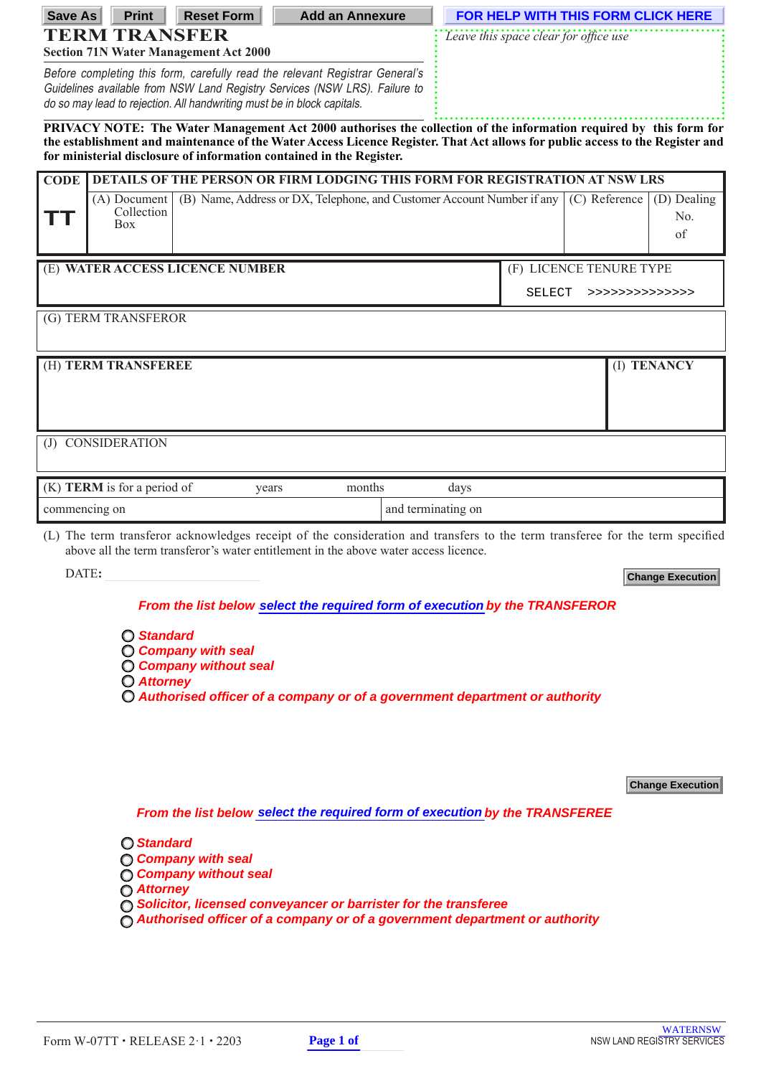| <b>Save As</b>                                                                                                                                                                                                                                                                                                              | <b>Print</b>                                                                                                         |                                                                                                                                                       | <b>Reset Form</b>                                           | <b>Add an Annexure</b>                                                                                                                                                                                                |  |                                       |                            |               |                          | FOR HELP WITH THIS FORM CLICK HERE |
|-----------------------------------------------------------------------------------------------------------------------------------------------------------------------------------------------------------------------------------------------------------------------------------------------------------------------------|----------------------------------------------------------------------------------------------------------------------|-------------------------------------------------------------------------------------------------------------------------------------------------------|-------------------------------------------------------------|-----------------------------------------------------------------------------------------------------------------------------------------------------------------------------------------------------------------------|--|---------------------------------------|----------------------------|---------------|--------------------------|------------------------------------|
| <b>TERM TRANSFER</b>                                                                                                                                                                                                                                                                                                        |                                                                                                                      |                                                                                                                                                       |                                                             |                                                                                                                                                                                                                       |  | Leave this space clear for office use |                            |               |                          |                                    |
| <b>Section 71N Water Management Act 2000</b><br>Before completing this form, carefully read the relevant Registrar General's                                                                                                                                                                                                |                                                                                                                      |                                                                                                                                                       |                                                             |                                                                                                                                                                                                                       |  |                                       |                            |               |                          |                                    |
|                                                                                                                                                                                                                                                                                                                             |                                                                                                                      | Guidelines available from NSW Land Registry Services (NSW LRS). Failure to<br>do so may lead to rejection. All handwriting must be in block capitals. |                                                             |                                                                                                                                                                                                                       |  |                                       |                            |               |                          |                                    |
| PRIVACY NOTE: The Water Management Act 2000 authorises the collection of the information required by this form for<br>the establishment and maintenance of the Water Access Licence Register. That Act allows for public access to the Register and<br>for ministerial disclosure of information contained in the Register. |                                                                                                                      |                                                                                                                                                       |                                                             |                                                                                                                                                                                                                       |  |                                       |                            |               |                          |                                    |
| <b>CODE</b>                                                                                                                                                                                                                                                                                                                 | <b>DETAILS OF THE PERSON OR FIRM LODGING THIS FORM FOR REGISTRATION AT NSW LRS</b>                                   |                                                                                                                                                       |                                                             |                                                                                                                                                                                                                       |  |                                       |                            |               |                          |                                    |
| . .                                                                                                                                                                                                                                                                                                                         | $(A)$ Document<br>(B) Name, Address or DX, Telephone, and Customer Account Number if any<br>Collection<br><b>Box</b> |                                                                                                                                                       |                                                             |                                                                                                                                                                                                                       |  |                                       |                            | (C) Reference | (D) Dealing<br>No.<br>of |                                    |
|                                                                                                                                                                                                                                                                                                                             |                                                                                                                      |                                                                                                                                                       | (E) WATER ACCESS LICENCE NUMBER                             |                                                                                                                                                                                                                       |  |                                       | (F) LICENCE TENURE TYPE    |               |                          |                                    |
|                                                                                                                                                                                                                                                                                                                             |                                                                                                                      |                                                                                                                                                       |                                                             |                                                                                                                                                                                                                       |  |                                       | SELECT<br>>>>>>>>>>>>>>>>> |               |                          |                                    |
|                                                                                                                                                                                                                                                                                                                             | (G) TERM TRANSFEROR                                                                                                  |                                                                                                                                                       |                                                             |                                                                                                                                                                                                                       |  |                                       |                            |               |                          |                                    |
|                                                                                                                                                                                                                                                                                                                             | (H) TERM TRANSFEREE                                                                                                  |                                                                                                                                                       |                                                             |                                                                                                                                                                                                                       |  |                                       |                            |               |                          | (I) TENANCY                        |
|                                                                                                                                                                                                                                                                                                                             |                                                                                                                      |                                                                                                                                                       |                                                             |                                                                                                                                                                                                                       |  |                                       |                            |               |                          |                                    |
|                                                                                                                                                                                                                                                                                                                             |                                                                                                                      |                                                                                                                                                       |                                                             |                                                                                                                                                                                                                       |  |                                       |                            |               |                          |                                    |
|                                                                                                                                                                                                                                                                                                                             | (J) CONSIDERATION                                                                                                    |                                                                                                                                                       |                                                             |                                                                                                                                                                                                                       |  |                                       |                            |               |                          |                                    |
|                                                                                                                                                                                                                                                                                                                             |                                                                                                                      |                                                                                                                                                       |                                                             |                                                                                                                                                                                                                       |  |                                       |                            |               |                          |                                    |
|                                                                                                                                                                                                                                                                                                                             | (K) TERM is for a period of                                                                                          |                                                                                                                                                       | years                                                       | months                                                                                                                                                                                                                |  | days                                  |                            |               |                          |                                    |
|                                                                                                                                                                                                                                                                                                                             | commencing on                                                                                                        |                                                                                                                                                       |                                                             |                                                                                                                                                                                                                       |  | and terminating on                    |                            |               |                          |                                    |
|                                                                                                                                                                                                                                                                                                                             |                                                                                                                      |                                                                                                                                                       |                                                             | (L) The term transferor acknowledges receipt of the consideration and transfers to the term transferee for the term specified<br>above all the term transferor's water entitlement in the above water access licence. |  |                                       |                            |               |                          |                                    |
| DATE:                                                                                                                                                                                                                                                                                                                       |                                                                                                                      |                                                                                                                                                       |                                                             |                                                                                                                                                                                                                       |  |                                       |                            |               |                          | <b>Change Execution</b>            |
|                                                                                                                                                                                                                                                                                                                             |                                                                                                                      |                                                                                                                                                       |                                                             | From the list below select the required form of execution by the TRANSFEROR                                                                                                                                           |  |                                       |                            |               |                          |                                    |
|                                                                                                                                                                                                                                                                                                                             |                                                                                                                      | ◯ Standard                                                                                                                                            |                                                             |                                                                                                                                                                                                                       |  |                                       |                            |               |                          |                                    |
|                                                                                                                                                                                                                                                                                                                             |                                                                                                                      |                                                                                                                                                       | <b>C</b> Company with seal<br><b>O Company without seal</b> |                                                                                                                                                                                                                       |  |                                       |                            |               |                          |                                    |
| <b>O</b> Attorney<br>$\bigcirc$ Authorised officer of a company or of a government department or authority                                                                                                                                                                                                                  |                                                                                                                      |                                                                                                                                                       |                                                             |                                                                                                                                                                                                                       |  |                                       |                            |               |                          |                                    |
|                                                                                                                                                                                                                                                                                                                             |                                                                                                                      |                                                                                                                                                       |                                                             |                                                                                                                                                                                                                       |  |                                       |                            |               |                          |                                    |
|                                                                                                                                                                                                                                                                                                                             |                                                                                                                      |                                                                                                                                                       |                                                             |                                                                                                                                                                                                                       |  |                                       |                            |               |                          |                                    |
|                                                                                                                                                                                                                                                                                                                             |                                                                                                                      |                                                                                                                                                       |                                                             |                                                                                                                                                                                                                       |  |                                       |                            |               |                          |                                    |
|                                                                                                                                                                                                                                                                                                                             |                                                                                                                      |                                                                                                                                                       |                                                             |                                                                                                                                                                                                                       |  |                                       |                            |               |                          | <b>Change Execution</b>            |
| From the list below select the required form of execution by the TRANSFEREE                                                                                                                                                                                                                                                 |                                                                                                                      |                                                                                                                                                       |                                                             |                                                                                                                                                                                                                       |  |                                       |                            |               |                          |                                    |
|                                                                                                                                                                                                                                                                                                                             |                                                                                                                      | <b>O</b> Standard                                                                                                                                     |                                                             |                                                                                                                                                                                                                       |  |                                       |                            |               |                          |                                    |
|                                                                                                                                                                                                                                                                                                                             |                                                                                                                      |                                                                                                                                                       | <b>Company with seal</b><br><b>Company without seal</b>     |                                                                                                                                                                                                                       |  |                                       |                            |               |                          |                                    |
| <b>Attorney</b><br>◯ Solicitor, licensed conveyancer or barrister for the transferee                                                                                                                                                                                                                                        |                                                                                                                      |                                                                                                                                                       |                                                             |                                                                                                                                                                                                                       |  |                                       |                            |               |                          |                                    |
| $\bigcirc$ Authorised officer of a company or of a government department or authority                                                                                                                                                                                                                                       |                                                                                                                      |                                                                                                                                                       |                                                             |                                                                                                                                                                                                                       |  |                                       |                            |               |                          |                                    |